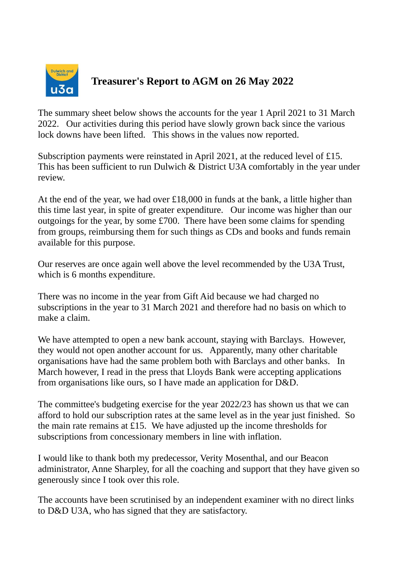

## **Treasurer's Report to AGM on 26 May 2022**

The summary sheet below shows the accounts for the year 1 April 2021 to 31 March 2022. Our activities during this period have slowly grown back since the various lock downs have been lifted. This shows in the values now reported.

Subscription payments were reinstated in April 2021, at the reduced level of £15. This has been sufficient to run Dulwich & District U3A comfortably in the year under review.

At the end of the year, we had over £18,000 in funds at the bank, a little higher than this time last year, in spite of greater expenditure. Our income was higher than our outgoings for the year, by some £700. There have been some claims for spending from groups, reimbursing them for such things as CDs and books and funds remain available for this purpose.

Our reserves are once again well above the level recommended by the U3A Trust, which is 6 months expenditure.

There was no income in the year from Gift Aid because we had charged no subscriptions in the year to 31 March 2021 and therefore had no basis on which to make a claim.

We have attempted to open a new bank account, staying with Barclays. However, they would not open another account for us. Apparently, many other charitable organisations have had the same problem both with Barclays and other banks. In March however, I read in the press that Lloyds Bank were accepting applications from organisations like ours, so I have made an application for D&D.

The committee's budgeting exercise for the year 2022/23 has shown us that we can afford to hold our subscription rates at the same level as in the year just finished. So the main rate remains at £15. We have adjusted up the income thresholds for subscriptions from concessionary members in line with inflation.

I would like to thank both my predecessor, Verity Mosenthal, and our Beacon administrator, Anne Sharpley, for all the coaching and support that they have given so generously since I took over this role.

The accounts have been scrutinised by an independent examiner with no direct links to D&D U3A, who has signed that they are satisfactory.